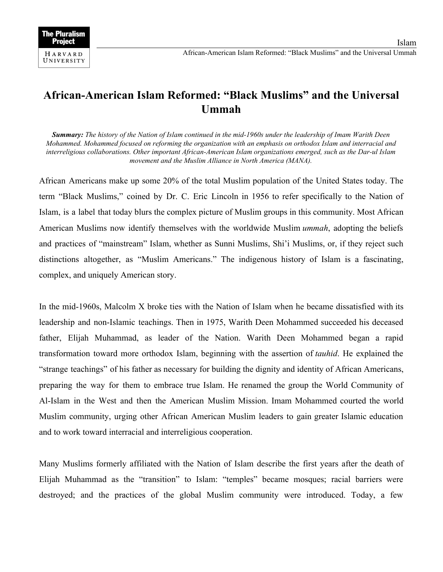**The Pluralism Project** HARVARD UNIVERSITY

Islam

## **African-American Islam Reformed: "Black Muslims" and the Universal Ummah**

**Summary:** The history of the Nation of Islam continued in the mid-1960s under the leadership of Imam Warith Deen *Mohammed. Mohammed focused on reforming the organization with an emphasis on orthodox Islam and interracial and interreligious collaborations. Other important African-American Islam organizations emerged, such as the Dar-ul Islam movement and the Muslim Alliance in North America (MANA).*

African Americans make up some 20% of the total Muslim population of the United States today. The term "Black Muslims," coined by Dr. C. Eric Lincoln in 1956 to refer specifically to the Nation of Islam, is a label that today blurs the complex picture of Muslim groups in this community. Most African American Muslims now identify themselves with the worldwide Muslim *ummah*, adopting the beliefs and practices of "mainstream" Islam, whether as Sunni Muslims, Shi'i Muslims, or, if they reject such distinctions altogether, as "Muslim Americans." The indigenous history of Islam is a fascinating, complex, and uniquely American story.

In the mid-1960s, Malcolm X broke ties with the Nation of Islam when he became dissatisfied with its leadership and non-Islamic teachings. Then in 1975, Warith Deen Mohammed succeeded his deceased father, Elijah Muhammad, as leader of the Nation. Warith Deen Mohammed began a rapid transformation toward more orthodox Islam, beginning with the assertion of *tauhid*. He explained the "strange teachings" of his father as necessary for building the dignity and identity of African Americans, preparing the way for them to embrace true Islam. He renamed the group the World Community of Al-Islam in the West and then the American Muslim Mission. Imam Mohammed courted the world Muslim community, urging other African American Muslim leaders to gain greater Islamic education and to work toward interracial and interreligious cooperation.

Many Muslims formerly affiliated with the Nation of Islam describe the first years after the death of Elijah Muhammad as the "transition" to Islam: "temples" became mosques; racial barriers were destroyed; and the practices of the global Muslim community were introduced. Today, a few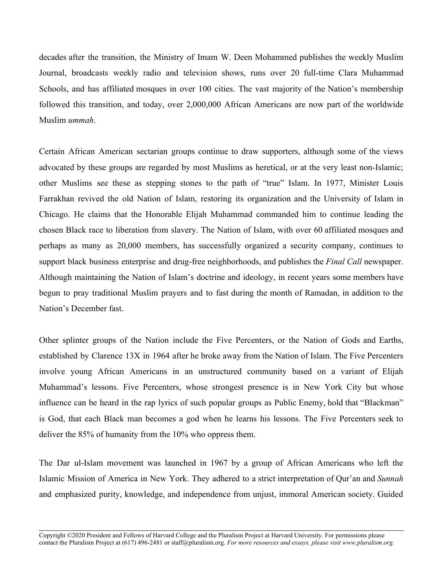decades after the transition, the Ministry of Imam W. Deen Mohammed publishes the weekly Muslim Journal, broadcasts weekly radio and television shows, runs over 20 full-time Clara Muhammad Schools, and has affiliated mosques in over 100 cities. The vast majority of the Nation's membership followed this transition, and today, over 2,000,000 African Americans are now part of the worldwide Muslim *ummah*.

Certain African American sectarian groups continue to draw supporters, although some of the views advocated by these groups are regarded by most Muslims as heretical, or at the very least non-Islamic; other Muslims see these as stepping stones to the path of "true" Islam. In 1977, Minister Louis Farrakhan revived the old Nation of Islam, restoring its organization and the University of Islam in Chicago. He claims that the Honorable Elijah Muhammad commanded him to continue leading the chosen Black race to liberation from slavery. The Nation of Islam, with over 60 affiliated mosques and perhaps as many as 20,000 members, has successfully organized a security company, continues to support black business enterprise and drug-free neighborhoods, and publishes the *Final Call* newspaper. Although maintaining the Nation of Islam's doctrine and ideology, in recent years some members have begun to pray traditional Muslim prayers and to fast during the month of Ramadan, in addition to the Nation's December fast.

Other splinter groups of the Nation include the Five Percenters, or the Nation of Gods and Earths, established by Clarence 13X in 1964 after he broke away from the Nation of Islam. The Five Percenters involve young African Americans in an unstructured community based on a variant of Elijah Muhammad's lessons. Five Percenters, whose strongest presence is in New York City but whose influence can be heard in the rap lyrics of such popular groups as Public Enemy, hold that "Blackman" is God, that each Black man becomes a god when he learns his lessons. The Five Percenters seek to deliver the 85% of humanity from the 10% who oppress them.

The Dar ul-Islam movement was launched in 1967 by a group of African Americans who left the Islamic Mission of America in New York. They adhered to a strict interpretation of Qur'an and *Sunnah* and emphasized purity, knowledge, and independence from unjust, immoral American society. Guided